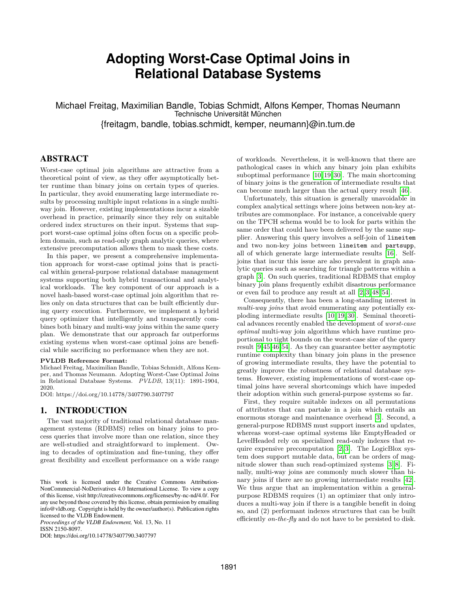# **Adopting Worst-Case Optimal Joins in Relational Database Systems**

Michael Freitag, Maximilian Bandle, Tobias Schmidt, Alfons Kemper, Thomas Neumann Technische Universität München {freitagm, bandle, tobias.schmidt, kemper, neumann}@in.tum.de

# ABSTRACT

Worst-case optimal join algorithms are attractive from a theoretical point of view, as they offer asymptotically better runtime than binary joins on certain types of queries. In particular, they avoid enumerating large intermediate results by processing multiple input relations in a single multiway join. However, existing implementations incur a sizable overhead in practice, primarily since they rely on suitable ordered index structures on their input. Systems that support worst-case optimal joins often focus on a specific problem domain, such as read-only graph analytic queries, where extensive precomputation allows them to mask these costs.

In this paper, we present a comprehensive implementation approach for worst-case optimal joins that is practical within general-purpose relational database management systems supporting both hybrid transactional and analytical workloads. The key component of our approach is a novel hash-based worst-case optimal join algorithm that relies only on data structures that can be built efficiently during query execution. Furthermore, we implement a hybrid query optimizer that intelligently and transparently combines both binary and multi-way joins within the same query plan. We demonstrate that our approach far outperforms existing systems when worst-case optimal joins are beneficial while sacrificing no performance when they are not.

#### **PVLDB Reference Format:**

Michael Freitag, Maximilian Bandle, Tobias Schmidt, Alfons Kemper, and Thomas Neumann. Adopting Worst-Case Optimal Joins in Relational Database Systems. *PVLDB*, 13(11): 1891-1904, 2020.

DOI: https://doi.org/10.14778/3407790.3407797

## <span id="page-0-0"></span>1. INTRODUCTION

The vast majority of traditional relational database management systems (RDBMS) relies on binary joins to process queries that involve more than one relation, since they are well-studied and straightforward to implement. Owing to decades of optimization and fine-tuning, they offer great flexibility and excellent performance on a wide range

*Proceedings of the VLDB Endowment,* Vol. 13, No. 11 ISSN 2150-8097.

DOI: https://doi.org/10.14778/3407790.3407797

of workloads. Nevertheless, it is well-known that there are pathological cases in which any binary join plan exhibits suboptimal performance [\[10,](#page-12-0) [19,](#page-12-1) [30\]](#page-12-2). The main shortcoming of binary joins is the generation of intermediate results that can become much larger than the actual query result [\[46\]](#page-13-0).

Unfortunately, this situation is generally unavoidable in complex analytical settings where joins between non-key attributes are commonplace. For instance, a conceivable query on the TPCH schema would be to look for parts within the same order that could have been delivered by the same supplier. Answering this query involves a self-join of lineitem and two non-key joins between lineitem and partsupp, all of which generate large intermediate results [\[16\]](#page-12-3). Selfjoins that incur this issue are also prevalent in graph analytic queries such as searching for triangle patterns within a graph [\[3\]](#page-12-4). On such queries, traditional RDBMS that employ binary join plans frequently exhibit disastrous performance or even fail to produce any result at all [\[2,](#page-12-5) [3,](#page-12-4) [48,](#page-13-1) [54\]](#page-13-2).

Consequently, there has been a long-standing interest in *multi-way joins* that avoid enumerating any potentially exploding intermediate results [\[10,](#page-12-0) [19,](#page-12-1) [30\]](#page-12-2). Seminal theoretical advances recently enabled the development of *worst-case optimal* multi-way join algorithms which have runtime proportional to tight bounds on the worst-case size of the query result [\[9,](#page-12-6)[45,](#page-13-3)[46](#page-13-0)[,54\]](#page-13-2). As they can guarantee better asymptotic runtime complexity than binary join plans in the presence of growing intermediate results, they have the potential to greatly improve the robustness of relational database systems. However, existing implementations of worst-case optimal joins have several shortcomings which have impeded their adoption within such general-purpose systems so far.

First, they require suitable indexes on all permutations of attributes that can partake in a join which entails an enormous storage and maintenance overhead [\[3\]](#page-12-4). Second, a general-purpose RDBMS must support inserts and updates, whereas worst-case optimal systems like EmptyHeaded or LevelHeaded rely on specialized read-only indexes that require expensive precomputation  $[2, 3]$  $[2, 3]$ . The LogicBlox system does support mutable data, but can be orders of magnitude slower than such read-optimized systems [\[3,](#page-12-4) [8\]](#page-12-7). Finally, multi-way joins are commonly much slower than binary joins if there are no growing intermediate results [\[42\]](#page-13-4). We thus argue that an implementation within a generalpurpose RDBMS requires (1) an optimizer that only introduces a multi-way join if there is a tangible benefit in doing so, and (2) performant indexes structures that can be built efficiently *on-the-fly* and do not have to be persisted to disk.

This work is licensed under the Creative Commons Attribution-NonCommercial-NoDerivatives 4.0 International License. To view a copy of this license, visit http://creativecommons.org/licenses/by-nc-nd/4.0/. For any use beyond those covered by this license, obtain permission by emailing info@vldb.org. Copyright is held by the owner/author(s). Publication rights licensed to the VLDB Endowment.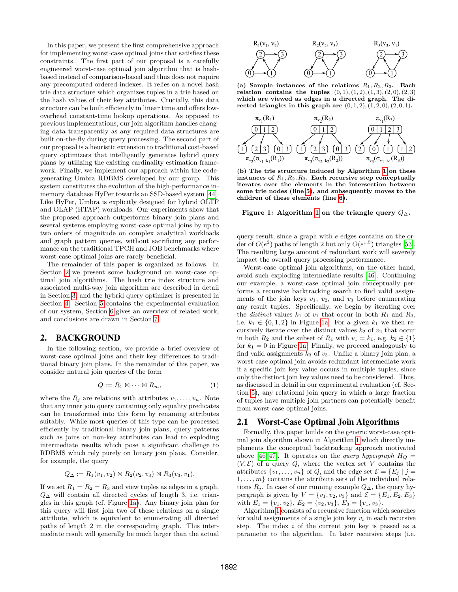In this paper, we present the first comprehensive approach for implementing worst-case optimal joins that satisfies these constraints. The first part of our proposal is a carefully engineered worst-case optimal join algorithm that is hashbased instead of comparison-based and thus does not require any precomputed ordered indexes. It relies on a novel hash trie data structure which organizes tuples in a trie based on the hash values of their key attributes. Crucially, this data structure can be built efficiently in linear time and offers lowoverhead constant-time lookup operations. As opposed to previous implementations, our join algorithm handles changing data transparently as any required data structures are built on-the-fly during query processing. The second part of our proposal is a heuristic extension to traditional cost-based query optimizers that intelligently generates hybrid query plans by utilizing the existing cardinality estimation framework. Finally, we implement our approach within the codegenerating Umbra RDBMS developed by our group. This system constitutes the evolution of the high-performance inmemory database HyPer towards an SSD-based system [\[44\]](#page-13-5). Like HyPer, Umbra is explicitly designed for hybrid OLTP and OLAP (HTAP) workloads. Our experiments show that the proposed approach outperforms binary join plans and several systems employing worst-case optimal joins by up to two orders of magnitude on complex analytical workloads and graph pattern queries, without sacrificing any performance on the traditional TPCH and JOB benchmarks where worst-case optimal joins are rarely beneficial.

The remainder of this paper is organized as follows. In Section [2](#page-1-0) we present some background on worst-case optimal join algorithms. The hash trie index structure and associated multi-way join algorithm are described in detail in Section [3,](#page-3-0) and the hybrid query optimizer is presented in Section [4.](#page-6-0) Section [5](#page-7-0) contains the experimental evaluation of our system, Section [6](#page-11-0) gives an overview of related work, and conclusions are drawn in Section [7.](#page-11-1)

## <span id="page-1-0"></span>2. BACKGROUND

In the following section, we provide a brief overview of worst-case optimal joins and their key differences to traditional binary join plans. In the remainder of this paper, we consider natural join queries of the form

$$
Q := R_1 \boxtimes \cdots \boxtimes R_m,\tag{1}
$$

where the  $R_i$  are relations with attributes  $v_1, \ldots, v_n$ . Note that any inner join query containing only equality predicates can be transformed into this form by renaming attributes suitably. While most queries of this type can be processed efficiently by traditional binary join plans, query patterns such as joins on non-key attributes can lead to exploding intermediate results which pose a significant challenge to RDBMS which rely purely on binary join plans. Consider, for example, the query

$$
Q_{\Delta} := R_1(v_1, v_2) \bowtie R_2(v_2, v_3) \bowtie R_3(v_3, v_1).
$$

If we set  $R_1 = R_2 = R_3$  and view tuples as edges in a graph,  $Q_{\Delta}$  will contain all directed cycles of length 3, i.e. triangles in this graph (cf. Figure [1a\)](#page-1-1). Any binary join plan for this query will first join two of these relations on a single attribute, which is equivalent to enumerating all directed paths of length 2 in the corresponding graph. This intermediate result will generally be much larger than the actual

<span id="page-1-1"></span>

(a) Sample instances of the relations  $R_1, R_2, R_3$ . Each **relation contains the tuples**  $(0, 1), (1, 2), (1, 3), (2, 0), (2, 3)$ **which are viewed as edges in a directed graph. The directed triangles in this graph are**  $(0, 1, 2), (1, 2, 0), (2, 0, 1)$ **.** 



**(b) The trie structure induced by Algorithm [1](#page-2-0) on these** instances of  $R_1, R_2, R_3$ . Each recursive step conceptually **iterates over the elements in the intersection between some trie nodes (line [5\)](#page-2-1), and subsequently moves to the children of these elements (line [6\)](#page-2-2).**

#### **Figure [1](#page-2-0):** Algorithm 1 on the triangle query  $Q_{\Delta}$ .

query result, since a graph with e edges contains on the order of  $O(e^2)$  paths of length 2 but only  $O(e^{1.5})$  triangles [\[53\]](#page-13-6). The resulting large amount of redundant work will severely impact the overall query processing performance.

Worst-case optimal join algorithms, on the other hand, avoid such exploding intermediate results [\[46\]](#page-13-0). Continuing our example, a worst-case optimal join conceptually performs a recursive backtracking search to find valid assignments of the join keys  $v_1$ ,  $v_2$ , and  $v_3$  before enumerating any result tuples. Specifically, we begin by iterating over the *distinct* values  $k_1$  of  $v_1$  that occur in both  $R_1$  and  $R_3$ , i.e.  $k_1 \in \{0, 1, 2\}$  in Figure [1a.](#page-1-1) For a given  $k_1$  we then recursively iterate over the distinct values  $k_2$  of  $v_2$  that occur in both  $R_2$  and the subset of  $R_1$  with  $v_1 = k_1$ , e.g.  $k_2 \in \{1\}$ for  $k_1 = 0$  in Figure [1a.](#page-1-1) Finally, we proceed analogously to find valid assignments  $k_3$  of  $v_3$ . Unlike a binary join plan, a worst-case optimal join avoids redundant intermediate work if a specific join key value occurs in multiple tuples, since only the distinct join key values need to be considered. Thus, as discussed in detail in our experimental evaluation (cf. Section [5\)](#page-7-0), any relational join query in which a large fraction of tuples have multiple join partners can potentially benefit from worst-case optimal joins.

#### 2.1 Worst-Case Optimal Join Algorithms

Formally, this paper builds on the generic worst-case optimal join algorithm shown in Algorithm [1](#page-2-0) which directly implements the conceptual backtracking approach motivated above [\[46,](#page-13-0)47]. It operates on the *query hypergraph*  $H_Q$  =  $(V, \mathcal{E})$  of a query  $Q$ , where the vertex set V contains the attributes  $\{v_1, \ldots, v_n\}$  of Q, and the edge set  $\mathcal{E} = \{E_j \mid j =$  $1, \ldots, m$  contains the attribute sets of the individual relations  $R_j$ . In case of our running example  $Q_{\Delta}$ , the query hypergraph is given by  $V = \{v_1, v_2, v_3\}$  and  $\mathcal{E} = \{E_1, E_2, E_3\}$ with  $E_1 = \{v_1, v_2\}, E_2 = \{v_2, v_3\}, E_3 = \{v_1, v_3\}.$ 

Algorithm [1](#page-2-0) consists of a recursive function which searches for valid assignments of a single join key  $v_i$  in each recursive step. The index  $i$  of the current join key is passed as a parameter to the algorithm. In later recursive steps (i.e.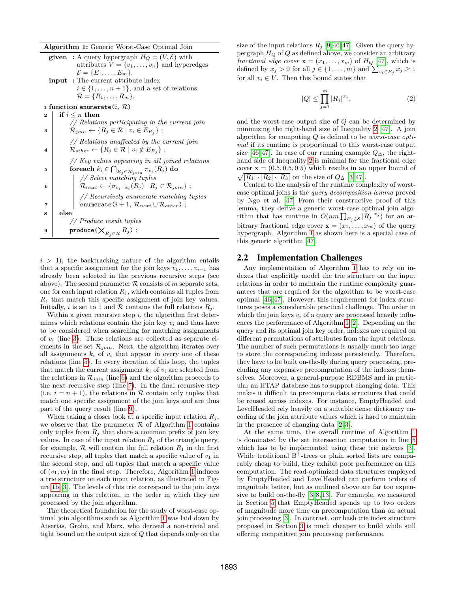**Algorithm 1:** Generic Worst-Case Optimal Join

<span id="page-2-3"></span><span id="page-2-0"></span>

|   | <b>Algorithm 1:</b> Generic Worst-Case Optimal Join                                                                                                                                                                                                                   |
|---|-----------------------------------------------------------------------------------------------------------------------------------------------------------------------------------------------------------------------------------------------------------------------|
|   | <b>given</b> : A query hypergraph $H_Q = (V, \mathcal{E})$ with<br>attributes $V = \{v_1, \ldots, v_n\}$ and hyperedges<br>$\mathcal{E} = \{E_1, \ldots, E_m\}.$<br><b>input</b> : The current attribute index<br>$i \in \{1, \ldots, n+1\}$ , and a set of relations |
|   | $\mathcal{R} = \{R_1, \ldots, R_m\}.$                                                                                                                                                                                                                                 |
|   | 1 function enumerate( <i>i</i> , $\mathcal{R}$ )                                                                                                                                                                                                                      |
| 2 | if $i \leq n$ then                                                                                                                                                                                                                                                    |
| 3 | // Relations participating in the current join<br>$\mathcal{R}_{join} \leftarrow \{R_j \in \mathcal{R} \mid v_i \in E_{R_j}\}\; ;$                                                                                                                                    |
| 4 | $//$ Relations unaffected by the current join<br>$\mathcal{R}_{other} \leftarrow \{R_j \in \mathcal{R} \mid v_i \notin E_{R_j}\}\; ;$                                                                                                                                 |
| 5 | // Key values appearing in all joined relations<br>foreach $k_i \in \bigcap_{R_j \in \mathcal{R}_{join}} \pi_{v_i}(R_j)$ do                                                                                                                                           |
| 6 | // Select matching tuples<br>$\mathcal{R}_{next} \leftarrow {\sigma_{v_i=k_i}(R_j)   R_j \in \mathcal{R}_{join}};$                                                                                                                                                    |
| 7 | $//$ Recursively enumerate matching tuples<br>enumerate $(i+1, R_{next} \cup R_{other})$ ;                                                                                                                                                                            |
| 8 | else                                                                                                                                                                                                                                                                  |
|   | // Produce result tuples                                                                                                                                                                                                                                              |
| 9 | $\texttt{produce}(\bigtimes_{R_i \in \mathcal{R}} R_j)$ ;                                                                                                                                                                                                             |

<span id="page-2-5"></span><span id="page-2-4"></span><span id="page-2-2"></span><span id="page-2-1"></span> $i > 1$ , the backtracking nature of the algorithm entails that a specific assignment for the join keys  $v_1, \ldots, v_{i-1}$  has already been selected in the previous recursive steps (see above). The second parameter  $R$  consists of m separate sets, one for each input relation  $R_i$ , which contains all tuples from  $R_i$  that match this specific assignment of join key values. Initially, i is set to 1 and  $R$  contains the full relations  $R_i$ .

Within a given recursive step  $i$ , the algorithm first determines which relations contain the join key  $v_i$  and thus have to be considered when searching for matching assignments of  $v_i$  (line [3\)](#page-2-3). These relations are collected as separate elements in the set  $\mathcal{R}_{join}$ . Next, the algorithm iterates over all assignments  $k_i$  of  $v_i$  that appear in every one of these relations (line [5\)](#page-2-1). In every iteration of this loop, the tuples that match the current assignment  $k_i$  of  $v_i$  are selected from the relations in  $\mathcal{R}_{join}$  (line [6\)](#page-2-2) and the algorithm proceeds to the next recursive step (line [7\)](#page-2-4). In the final recursive step (i.e.  $i = n + 1$ ), the relations in R contain only tuples that match one specific assignment of the join keys and are thus part of the query result (line [9\)](#page-2-5).

When taking a closer look at a specific input relation  $R_i$ , we observe that the parameter  $R$  of Algorithm [1](#page-2-0) contains only tuples from  $R_i$  that share a common prefix of join key values. In case of the input relation  $R_1$  of the triangle query, for example,  $\mathcal R$  will contain the full relation  $R_1$  in the first recursive step, all tuples that match a specific value of  $v_1$  in the second step, and all tuples that match a specific value of  $(v_1, v_2)$  in the final step. Therefore, Algorithm [1](#page-2-0) induces a trie structure on each input relation, as illustrated in Figure [1b](#page-1-1) [\[3\]](#page-12-4). The levels of this trie correspond to the join keys appearing in this relation, in the order in which they are processed by the join algorithm.

The theoretical foundation for the study of worst-case optimal join algorithms such as Algorithm [1](#page-2-0) was laid down by Atserias, Grohe, and Marx, who derived a non-trivial and tight bound on the output size of Q that depends only on the size of the input relations  $R_i$  [\[9,](#page-12-6)[46,](#page-13-0)[47\]](#page-13-7). Given the query hypergraph  $H_Q$  of  $Q$  as defined above, we consider an arbitrary *fractional edge cover*  $\mathbf{x} = (x_1, \dots, x_m)$  of  $H_Q$  [\[47\]](#page-13-7), which is defined by  $x_j > 0$  for all  $j \in \{1, \ldots, m\}$  and  $\sum_{v_i \in E_j} x_j \ge 1$ for all  $v_i \in V$ . Then this bound states that

<span id="page-2-6"></span>
$$
|Q| \le \prod_{j=1}^{m} |R_j|^{x_j},\tag{2}
$$

and the worst-case output size of Q can be determined by minimizing the right-hand size of Inequality [2](#page-2-6) [\[47\]](#page-13-7). A join algorithm for computing Q is defined to be *worst-case optimal* if its runtime is proportional to this worst-case output size [\[46,](#page-13-0)47]. In case of our running example  $Q_{\Delta}$ , the righthand side of Inequality [2](#page-2-6) is minimal for the fractional edge cover  $\mathbf{x} = (0.5, 0.5, 0.5)$  which results in an upper bound of  $\sqrt{|R_1| \cdot |R_2| \cdot |R_3|}$  on the size of  $Q_{\Delta}$  [3,47].  $\sqrt{|R_1| \cdot |R_2| \cdot |R_3|}$  on the size of  $Q_{\Delta}$  [\[3,](#page-12-4)47].

Central to the analysis of the runtime complexity of worstcase optimal joins is the *query decomposition lemma* proved by Ngo et al. [\[47\]](#page-13-7) From their constructive proof of this lemma, they derive a generic worst-case optimal join algorithm that has runtime in  $O(nm \prod_{E_j \in \mathcal{E}} |R_j|^{x_j})$  for an arbitrary fractional edge cover  $\mathbf{x} = (x_1, \ldots, x_m)$  of the query hypergraph. Algorithm [1](#page-2-0) as shown here is a special case of this generic algorithm [\[47\]](#page-13-7).

## 2.2 Implementation Challenges

Any implementation of Algorithm [1](#page-2-0) has to rely on indexes that explicitly model the trie structure on the input relations in order to maintain the runtime complexity guarantees that are required for the algorithm to be worst-case optimal [\[46,](#page-13-0) [47\]](#page-13-7). However, this requirement for index structures poses a considerable practical challenge. The order in which the join keys  $v_i$  of a query are processed heavily influences the performance of Algorithm [1](#page-2-0) [\[2\]](#page-12-5). Depending on the query and its optimal join key order, indexes are required on different permutations of attributes from the input relations. The number of such permutations is usually much too large to store the corresponding indexes persistently. Therefore, they have to be built on-the-fly during query processing, precluding any expensive precomputation of the indexes themselves. Moreover, a general-purpose RDBMS and in particular an HTAP database has to support changing data. This makes it difficult to precompute data structures that could be reused across indexes. For instance, EmptyHeaded and LevelHeaded rely heavily on a suitable dense dictionary encoding of the join attribute values which is hard to maintain in the presence of changing data [\[2,](#page-12-5) [3\]](#page-12-4).

At the same time, the overall runtime of Algorithm [1](#page-2-0) is dominated by the set intersection computation in line [5](#page-2-1) which has to be implemented using these trie indexes [\[3\]](#page-12-4). While traditional  $B^+$ -trees or plain sorted lists are comparably cheap to build, they exhibit poor performance on this computation. The read-optimized data structures employed by EmptyHeaded and LevelHeaded can perform orders of magnitude better, but as outlined above are far too expensive to build on-the-fly [\[3,](#page-12-4) [8,](#page-12-7) [13\]](#page-12-8). For example, we measured in Section [5](#page-7-0) that EmptyHeaded spends up to two orders of magnitude more time on precomputation than on actual join processing [\[3\]](#page-12-4). In contrast, our hash trie index structure proposed in Section [3](#page-3-0) is much cheaper to build while still offering competitive join processing performance.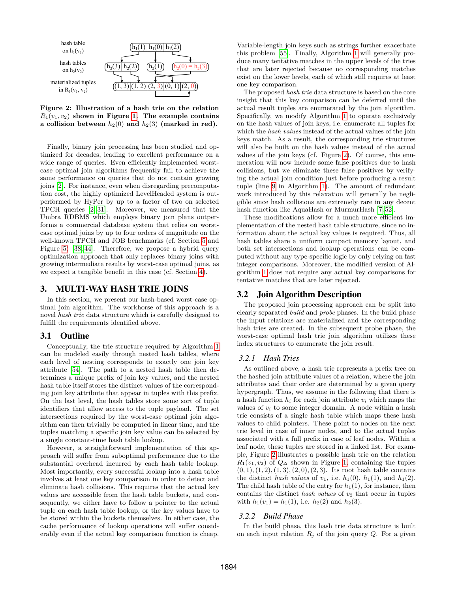<span id="page-3-1"></span>

**Figure 2: Illustration of a hash trie on the relation**  $R_1(v_1, v_2)$  shown in Figure [1.](#page-1-1) The example contains **a collision between**  $h_2(0)$  and  $h_2(3)$  (marked in red).

Finally, binary join processing has been studied and optimized for decades, leading to excellent performance on a wide range of queries. Even efficiently implemented worstcase optimal join algorithms frequently fail to achieve the same performance on queries that do not contain growing joins [\[2\]](#page-12-5). For instance, even when disregarding precomputation cost, the highly optimized LevelHeaded system is outperformed by HyPer by up to a factor of two on selected TPCH queries [\[2,](#page-12-5) [31\]](#page-12-9). Moreover, we measured that the Umbra RDBMS which employs binary join plans outperforms a commercial database system that relies on worstcase optimal joins by up to four orders of magnitude on the well-known TPCH and JOB benchmarks (cf. Section [5](#page-7-0) and Figure [5\)](#page-8-0) [\[38,](#page-13-8) [44\]](#page-13-5). Therefore, we propose a hybrid query optimization approach that only replaces binary joins with growing intermediate results by worst-case optimal joins, as we expect a tangible benefit in this case (cf. Section [4\)](#page-6-0).

## <span id="page-3-0"></span>3. MULTI-WAY HASH TRIE JOINS

In this section, we present our hash-based worst-case optimal join algorithm. The workhorse of this approach is a novel *hash trie* data structure which is carefully designed to fulfill the requirements identified above.

#### 3.1 Outline

Conceptually, the trie structure required by Algorithm [1](#page-2-0) can be modeled easily through nested hash tables, where each level of nesting corresponds to exactly one join key attribute [\[54\]](#page-13-2). The path to a nested hash table then determines a unique prefix of join key values, and the nested hash table itself stores the distinct values of the corresponding join key attribute that appear in tuples with this prefix. On the last level, the hash tables store some sort of tuple identifiers that allow access to the tuple payload. The set intersections required by the worst-case optimal join algorithm can then trivially be computed in linear time, and the tuples matching a specific join key value can be selected by a single constant-time hash table lookup.

However, a straightforward implementation of this approach will suffer from suboptimal performance due to the substantial overhead incurred by each hash table lookup. Most importantly, every successful lookup into a hash table involves at least one key comparison in order to detect and eliminate hash collisions. This requires that the actual key values are accessible from the hash table buckets, and consequently, we either have to follow a pointer to the actual tuple on each hash table lookup, or the key values have to be stored within the buckets themselves. In either case, the cache performance of lookup operations will suffer considerably even if the actual key comparison function is cheap.

Variable-length join keys such as strings further exacerbate this problem [\[55\]](#page-13-9). Finally, Algorithm [1](#page-2-0) will generally produce many tentative matches in the upper levels of the tries that are later rejected because no corresponding matches exist on the lower levels, each of which still requires at least one key comparison.

The proposed *hash trie* data structure is based on the core insight that this key comparison can be deferred until the actual result tuples are enumerated by the join algorithm. Specifically, we modify Algorithm [1](#page-2-0) to operate exclusively on the hash values of join keys, i.e. enumerate all tuples for which the *hash values* instead of the actual values of the join keys match. As a result, the corresponding trie structures will also be built on the hash values instead of the actual values of the join keys (cf. Figure [2\)](#page-3-1). Of course, this enumeration will now include some false positives due to hash collisions, but we eliminate these false positives by verifying the actual join condition just before producing a result tuple (line [9](#page-2-5) in Algorithm [1\)](#page-2-0). The amount of redundant work introduced by this relaxation will generally be negligible since hash collisions are extremely rare in any decent hash function like AquaHash or MurmurHash [\[7,](#page-12-10) [52\]](#page-13-10).

These modifications allow for a much more efficient implementation of the nested hash table structure, since no information about the actual key values is required. Thus, all hash tables share a uniform compact memory layout, and both set intersections and lookup operations can be computed without any type-specific logic by only relying on fast integer comparisons. Moreover, the modified version of Algorithm [1](#page-2-0) does not require any actual key comparisons for tentative matches that are later rejected.

# 3.2 Join Algorithm Description

The proposed join processing approach can be split into clearly separated *build* and *probe* phases. In the build phase the input relations are materialized and the corresponding hash tries are created. In the subsequent probe phase, the worst-case optimal hash trie join algorithm utilizes these index structures to enumerate the join result.

#### *3.2.1 Hash Tries*

As outlined above, a hash trie represents a prefix tree on the hashed join attribute values of a relation, where the join attributes and their order are determined by a given query hypergraph. Thus, we assume in the following that there is a hash function  $h_i$  for each join attribute  $v_i$  which maps the values of  $v_i$  to some integer domain. A node within a hash trie consists of a single hash table which maps these hash values to child pointers. These point to nodes on the next trie level in case of inner nodes, and to the actual tuples associated with a full prefix in case of leaf nodes. Within a leaf node, these tuples are stored in a linked list. For example, Figure [2](#page-3-1) illustrates a possible hash trie on the relation  $R_1(v_1, v_2)$  of  $Q_{\Delta}$  shown in Figure [1,](#page-1-1) containing the tuples  $(0, 1), (1, 2), (1, 3), (2, 0), (2, 3).$  Its root hash table contains the distinct *hash values* of  $v_1$ , i.e.  $h_1(0)$ ,  $h_1(1)$ , and  $h_1(2)$ . The child hash table of the entry for  $h_1(1)$ , for instance, then contains the distinct *hash values* of  $v_2$  that occur in tuples with  $h_1(v_1) = h_1(1)$ , i.e.  $h_2(2)$  and  $h_2(3)$ .

#### *3.2.2 Build Phase*

In the build phase, this hash trie data structure is built on each input relation  $R_j$  of the join query  $Q$ . For a given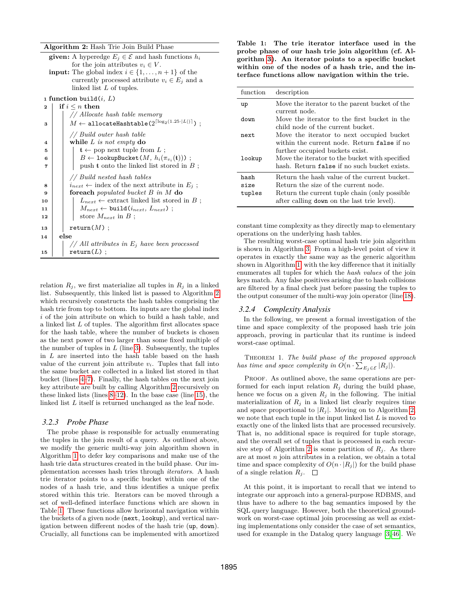#### **Algorithm 2:** Hash Trie Join Build Phase

<span id="page-4-3"></span><span id="page-4-2"></span><span id="page-4-1"></span><span id="page-4-0"></span>

|    | <b>given:</b> A hyperedge $E_i \in \mathcal{E}$ and hash functions $h_i$              |
|----|---------------------------------------------------------------------------------------|
|    | for the join attributes $v_i \in V$ .                                                 |
|    | <b>input:</b> The global index $i \in \{1, , n+1\}$ of the                            |
|    |                                                                                       |
|    | currently processed attribute $v_i \in E_j$ and a                                     |
|    | linked list $L$ of tuples.                                                            |
|    | 1 function build $(i, L)$                                                             |
| 2  | if $i \leq n$ then                                                                    |
|    | // Allocate hash table memory                                                         |
| 3  | $M \leftarrow \texttt{allocateHashtable}(2^{\lceil \log_2(1.25 \cdot  L ) \rceil})~;$ |
|    |                                                                                       |
|    | // Build outer hash table                                                             |
| 4  | while $L$ is not empty do                                                             |
| 5  | $\mathbf{t} \leftarrow$ pop next tuple from L;                                        |
| 6  | $B \leftarrow$ lookupBucket $(M, h_i(\pi_{v_i}(\mathbf{t})))$ ;                       |
|    |                                                                                       |
| 7  | push $t$ onto the linked list stored in $B$ ;                                         |
|    | // Build nested hash tables                                                           |
| 8  | $i_{next} \leftarrow$ index of the next attribute in $E_j$ ;                          |
| 9  | <b>foreach</b> populated bucket $B$ in $M$ do                                         |
| 10 | $L_{next} \leftarrow$ extract linked list stored in B;                                |
| 11 | $M_{next} \leftarrow \text{build}(i_{next}, L_{next})$ ;                              |
| 12 | store $M_{next}$ in B;                                                                |
| 13 | $return(M)$ ;                                                                         |
|    |                                                                                       |
| 14 | else                                                                                  |
|    | // All attributes in $E_j$ have been processed                                        |
| 15 | $return(L)$ ;                                                                         |

<span id="page-4-6"></span><span id="page-4-5"></span><span id="page-4-4"></span>relation  $R_i$ , we first materialize all tuples in  $R_i$  in a linked list. Subsequently, this linked list is passed to Algorithm [2](#page-4-0) which recursively constructs the hash tables comprising the hash trie from top to bottom. Its inputs are the global index i of the join attribute on which to build a hash table, and a linked list L of tuples. The algorithm first allocates space for the hash table, where the number of buckets is chosen as the next power of two larger than some fixed multiple of the number of tuples in  $L$  (line [3\)](#page-4-1). Subsequently, the tuples in L are inserted into the hash table based on the hash value of the current join attribute  $v_i$ . Tuples that fall into the same bucket are collected in a linked list stored in that bucket (lines [4](#page-4-2)[–7\)](#page-4-3). Finally, the hash tables on the next join key attribute are built by calling Algorithm [2](#page-4-0) recursively on these linked lists (lines [8](#page-4-4)[–12\)](#page-4-5). In the base case (line [15\)](#page-4-6), the linked list L itself is returned unchanged as the leaf node.

#### *3.2.3 Probe Phase*

The probe phase is responsible for actually enumerating the tuples in the join result of a query. As outlined above, we modify the generic multi-way join algorithm shown in Algorithm [1](#page-2-0) to defer key comparisons and make use of the hash trie data structures created in the build phase. Our implementation accesses hash tries through *iterators*. A hash trie iterator points to a specific bucket within one of the nodes of a hash trie, and thus identifies a unique prefix stored within this trie. Iterators can be moved through a set of well-defined interface functions which are shown in Table [1.](#page-4-7) These functions allow horizontal navigation within the buckets of a given node (next, lookup), and vertical navigation between different nodes of the hash trie (up, down). Crucially, all functions can be implemented with amortized

<span id="page-4-7"></span>**Table 1: The trie iterator interface used in the probe phase of our hash trie join algorithm (cf. Algorithm [3\)](#page-5-0). An iterator points to a specific bucket within one of the nodes of a hash trie, and the interface functions allow navigation within the trie.**

| function               | description                                                                                                                                                                          |
|------------------------|--------------------------------------------------------------------------------------------------------------------------------------------------------------------------------------|
| up                     | Move the iterator to the parent bucket of the<br>current node.                                                                                                                       |
| down                   | Move the iterator to the first bucket in the<br>child node of the current bucket.                                                                                                    |
| next.                  | Move the iterator to next occupied bucket<br>within the current node. Return false if no                                                                                             |
| lookup                 | further occupied buckets exist.<br>Move the iterator to the bucket with specified<br>hash. Return false if no such bucket exists.                                                    |
| hash<br>size<br>tuples | Return the hash value of the current bucket.<br>Return the size of the current node.<br>Return the current tuple chain (only possible<br>after calling down on the last trie level). |

constant time complexity as they directly map to elementary operations on the underlying hash tables.

The resulting worst-case optimal hash trie join algorithm is shown in Algorithm [3.](#page-5-0) From a high-level point of view it operates in exactly the same way as the generic algorithm shown in Algorithm [1,](#page-2-0) with the key difference that it initially enumerates all tuples for which the *hash values* of the join keys match. Any false positives arising due to hash collisions are filtered by a final check just before passing the tuples to the output consumer of the multi-way join operator (line [18\)](#page-5-1).

#### *3.2.4 Complexity Analysis*

In the following, we present a formal investigation of the time and space complexity of the proposed hash trie join approach, proving in particular that its runtime is indeed worst-case optimal.

Theorem 1. *The build phase of the proposed approach has time and space complexity in*  $O(n \cdot \sum_{E_j \in \mathcal{E}} |R_j|)$ *.* 

PROOF. As outlined above, the same operations are performed for each input relation  $R_j$  during the build phase, hence we focus on a given  $R_j$  in the following. The initial materialization of  $R_i$  in a linked list clearly requires time and space proportional to  $|R_i|$ . Moving on to Algorithm [2,](#page-4-0) we note that each tuple in the input linked list  $L$  is moved to exactly one of the linked lists that are processed recursively. That is, no additional space is required for tuple storage, and the overall set of tuples that is processed in each recur-sive step of Algorithm [2](#page-4-0) is some partition of  $R_i$ . As there are at most  $n$  join attributes in a relation, we obtain a total time and space complexity of  $O(n \cdot |R_j|)$  for the build phase of a single relation  $R_j$ .  $\Box$ 

At this point, it is important to recall that we intend to integrate our approach into a general-purpose RDBMS, and thus have to adhere to the bag semantics imposed by the SQL query language. However, both the theoretical groundwork on worst-case optimal join processing as well as existing implementations only consider the case of set semantics, used for example in the Datalog query language [\[3,](#page-12-4) [46\]](#page-13-0). We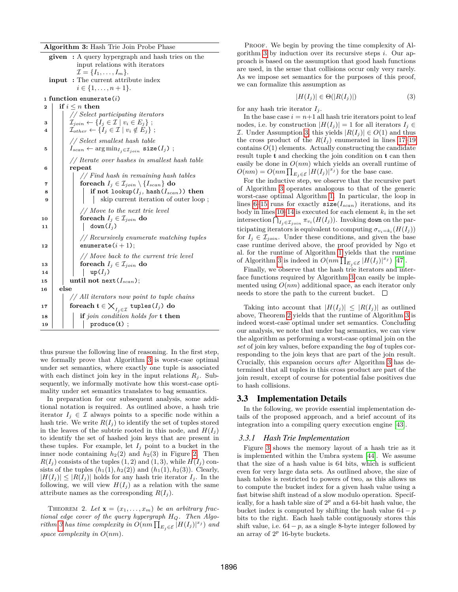**Algorithm 3:** Hash Trie Join Probe Phase

<span id="page-5-5"></span><span id="page-5-0"></span>

|                                        |                             | <b>given</b> : A query hypergraph and hash tries on the                                                       |  |  |  |  |  |
|----------------------------------------|-----------------------------|---------------------------------------------------------------------------------------------------------------|--|--|--|--|--|
|                                        |                             | input relations with iterators                                                                                |  |  |  |  |  |
|                                        |                             | $\mathcal{I} = \{I_1, \ldots, I_m\}.$                                                                         |  |  |  |  |  |
| : The current attribute index<br>input |                             |                                                                                                               |  |  |  |  |  |
|                                        | $i \in \{1, \ldots, n+1\}.$ |                                                                                                               |  |  |  |  |  |
|                                        | 1 function enumerate $(i)$  |                                                                                                               |  |  |  |  |  |
| $\mathbf 2$                            |                             | if $i \leq n$ then                                                                                            |  |  |  |  |  |
|                                        |                             | // Select participating iterators                                                                             |  |  |  |  |  |
| 3                                      |                             | $\mathcal{I}_{join} \leftarrow \{I_j \in \mathcal{I} \mid v_i \in E_j\};$                                     |  |  |  |  |  |
| 4                                      |                             | $\mathcal{I}_{other} \leftarrow \{I_j \in \mathcal{I} \mid v_i \notin E_j\};$                                 |  |  |  |  |  |
|                                        |                             | // Select smallest hash table                                                                                 |  |  |  |  |  |
| 5                                      |                             | $I_{scan} \leftarrow \arg\min_{I_j \in \mathcal{I}_{join}} \text{size}(I_j)$ ;                                |  |  |  |  |  |
|                                        |                             | // Iterate over hashes in smallest hash table                                                                 |  |  |  |  |  |
| 6                                      |                             | repeat                                                                                                        |  |  |  |  |  |
|                                        |                             | $//$ Find hash in remaining hash tables                                                                       |  |  |  |  |  |
| 7                                      |                             | for each $I_j \in \mathcal{I}_{join} \setminus \{I_{scan}\}\$ do                                              |  |  |  |  |  |
| 8                                      |                             | if not lookup( $I_j$ , hash( $I_{scan}$ )) then                                                               |  |  |  |  |  |
| 9                                      |                             | skip current iteration of outer loop;                                                                         |  |  |  |  |  |
|                                        |                             | // Move to the next trie level                                                                                |  |  |  |  |  |
| 10                                     |                             | foreach $I_i \in \mathcal{I}_{join}$ do                                                                       |  |  |  |  |  |
| 11                                     |                             | $down(I_i)$                                                                                                   |  |  |  |  |  |
|                                        |                             | // Recursively enumerate matching tuples                                                                      |  |  |  |  |  |
| 12                                     |                             | enumerate $(i+1)$ ;                                                                                           |  |  |  |  |  |
|                                        |                             | // Move back to the current trie level                                                                        |  |  |  |  |  |
| 13                                     |                             | foreach $I_j \in \mathcal{I}_{join}$ do                                                                       |  |  |  |  |  |
| 14                                     |                             | $up(I_j)$                                                                                                     |  |  |  |  |  |
| 15                                     |                             | until not next $(I_{scan})$ ;                                                                                 |  |  |  |  |  |
| 16                                     | else                        |                                                                                                               |  |  |  |  |  |
|                                        |                             | // All iterators now point to tuple chains                                                                    |  |  |  |  |  |
| 17                                     |                             | for $\mathsf{each}\; \mathsf{t}\in\mathsf{\bigtimes}_{I_j\in\mathcal{I}}\; \mathsf{tuples}(I_j)\;\mathbf{do}$ |  |  |  |  |  |
| 18                                     |                             | if join condition holds for <b>t</b> then                                                                     |  |  |  |  |  |
| 19                                     |                             | produce(t);                                                                                                   |  |  |  |  |  |
|                                        |                             |                                                                                                               |  |  |  |  |  |

<span id="page-5-8"></span><span id="page-5-7"></span><span id="page-5-6"></span><span id="page-5-4"></span><span id="page-5-3"></span><span id="page-5-1"></span>thus pursue the following line of reasoning. In the first step, we formally prove that Algorithm [3](#page-5-0) is worst-case optimal under set semantics, where exactly one tuple is associated with each distinct join key in the input relations  $R_i$ . Subsequently, we informally motivate how this worst-case optimality under set semantics translates to bag semantics.

In preparation for our subsequent analysis, some additional notation is required. As outlined above, a hash trie iterator  $I_j \in \mathcal{I}$  always points to a specific node within a hash trie. We write  $R(I_i)$  to identify the set of tuples stored in the leaves of the subtrie rooted in this node, and  $H(I_i)$ to identify the set of hashed join keys that are present in these tuples. For example, let  $I_j$  point to a bucket in the inner node containing  $h_2(2)$  and  $h_2(3)$  in Figure [2.](#page-3-1) Then  $R(I_i)$  consists of the tuples (1, 2) and (1, 3), while  $H(I_i)$  consists of the tuples  $(h_1(1), h_2(2))$  and  $(h_1(1), h_2(3))$ . Clearly,  $|H(I_j)| \leq |R(I_j)|$  holds for any hash trie iterator  $I_j$ . In the following, we will view  $H(I_i)$  as a relation with the same attribute names as the corresponding  $R(I_i)$ .

<span id="page-5-9"></span>THEOREM 2. Let  $\mathbf{x} = (x_1, \ldots, x_m)$  be an arbitrary frac*tional edge cover of the query hypergraph* HQ*. Then Algorithm* [3](#page-5-0) has time complexity in  $O(nm \prod_{E_j \in \mathcal{E}} |H(I_j)|^{x_j})$  and *space complexity in* O(nm)*.*

PROOF. We begin by proving the time complexity of Al-gorithm [3](#page-5-0) by induction over its recursive steps  $i$ . Our approach is based on the assumption that good hash functions are used, in the sense that collisions occur only very rarely. As we impose set semantics for the purposes of this proof, we can formalize this assumption as

<span id="page-5-2"></span>
$$
|H(I_j)| \in \Theta(|R(I_j)|) \tag{3}
$$

for any hash trie iterator  $I_i$ .

In the base case  $i = n+1$  all hash trie iterators point to leaf nodes, i.e. by construction  $|H(I_i)| = 1$  for all iterators  $I_i \in$ *I*. Under Assumption [3,](#page-5-2) this yields  $|R(I_i)| \in O(1)$  and thus the cross product of the  $R(I_j)$  enumerated in lines [17–](#page-5-3)[19](#page-5-4) contains  $O(1)$  elements. Actually constructing the candidate result tuple t and checking the join condition on t can then easily be done in  $O(nm)$  which yields an overall runtime of  $O(nm) = O(nm \prod_{E_j \in \mathcal{E}} |H(I_j)|^{x_j})$  for the base case.

For the inductive step, we observe that the recursive part of Algorithm [3](#page-5-0) operates analogous to that of the generic worst-case optimal Algorithm [1.](#page-2-0) In particular, the loop in lines 6-[15](#page-5-6) runs for exactly  $size(I_{scan})$  iterations, and its body in lines  $10-14$  is executed for each element  $k_i$  in the set intersection  $\bigcap_{I_j \in \mathcal{I}_{join}} \pi_{v_i}(H(I_j))$ . Invoking down on the participating iterators is equivalent to computing  $\sigma_{v_i=k_i}(H(I_j))$ for  $I_j \in \mathcal{I}_{join}$ . Under these conditions, and given the base case runtime derived above, the proof provided by Ngo et al. for the runtime of Algorithm [1](#page-2-0) yields that the runtime of Algorithm [3](#page-5-0) is indeed in  $O(nm\prod_{E_j\in\mathcal{E}}|H(I_j)|^{x_j})$  [\[47\]](#page-13-7).

Finally, we observe that the hash trie iterators and interface functions required by Algorithm [3](#page-5-0) can easily be implemented using  $O(nm)$  additional space, as each iterator only needs to store the path to the current bucket.  $\Box$ 

Taking into account that  $|H(I_i)| \leq |R(I_i)|$  as outlined above, Theorem [2](#page-5-9) yields that the runtime of Algorithm [3](#page-5-0) is indeed worst-case optimal under set semantics. Concluding our analysis, we note that under bag semantics, we can view the algorithm as performing a worst-case optimal join on the *set* of join key values, before expanding the *bag* of tuples corresponding to the join keys that are part of the join result. Crucially, this expansion occurs *after* Algorithm [3](#page-5-0) has determined that all tuples in this cross product are part of the join result, except of course for potential false positives due to hash collisions.

## 3.3 Implementation Details

In the following, we provide essential implementation details of the proposed approach, and a brief account of its integration into a compiling query execution engine [\[43\]](#page-13-11).

#### *3.3.1 Hash Trie Implementation*

Figure [3](#page-6-1) shows the memory layout of a hash trie as it is implemented within the Umbra system [\[44\]](#page-13-5). We assume that the size of a hash value is 64 bits, which is sufficient even for very large data sets. As outlined above, the size of hash tables is restricted to powers of two, as this allows us to compute the bucket index for a given hash value using a fast bitwise shift instead of a slow modulo operation. Specifically, for a hash table size of  $2^p$  and a 64-bit hash value, the bucket index is computed by shifting the hash value  $64 - p$ bits to the right. Each hash table contiguously stores this shift value, i.e.  $64 - p$ , as a single 8-byte integer followed by an array of  $2^p$  16-byte buckets.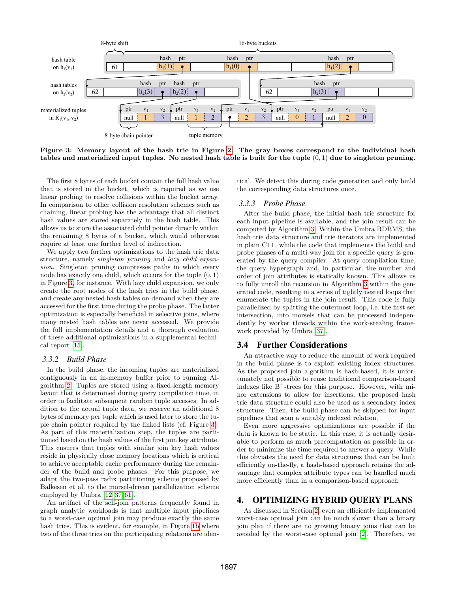<span id="page-6-1"></span>

**Figure 3: Memory layout of the hash trie in Figure [2.](#page-3-1) The gray boxes correspond to the individual hash tables and materialized input tuples. No nested hash table is built for the tuple** (0, 1) **due to singleton pruning.**

The first 8 bytes of each bucket contain the full hash value that is stored in the bucket, which is required as we use linear probing to resolve collisions within the bucket array. In comparison to other collision resolution schemes such as chaining, linear probing has the advantage that all distinct hash values are stored separately in the hash table. This allows us to store the associated child pointer directly within the remaining 8 bytes of a bucket, which would otherwise require at least one further level of indirection.

We apply two further optimizations to the hash trie data structure, namely *singleton pruning* and *lazy child expansion*. Singleton pruning compresses paths in which every node has exactly one child, which occurs for the tuple (0, 1) in Figure [3,](#page-6-1) for instance. With lazy child expansion, we only create the root nodes of the hash tries in the build phase, and create any nested hash tables on-demand when they are accessed for the first time during the probe phase. The latter optimization is especially beneficial in selective joins, where many nested hash tables are never accessed. We provide the full implementation details and a thorough evaluation of these additional optimizations in a supplemental technical report [\[15\]](#page-12-11).

#### *3.3.2 Build Phase*

In the build phase, the incoming tuples are materialized contiguously in an in-memory buffer prior to running Algorithm [2.](#page-4-0) Tuples are stored using a fixed-length memory layout that is determined during query compilation time, in order to facilitate subsequent random tuple accesses. In addition to the actual tuple data, we reserve an additional 8 bytes of memory per tuple which is used later to store the tuple chain pointer required by the linked lists (cf. Figure [3\)](#page-6-1). As part of this materialization step, the tuples are partitioned based on the hash values of the first join key attribute. This ensures that tuples with similar join key hash values reside in physically close memory locations which is critical to achieve acceptable cache performance during the remainder of the build and probe phases. For this purpose, we adapt the two-pass radix partitioning scheme proposed by Balkesen et al. to the morsel-driven parallelization scheme employed by Umbra [\[12,](#page-12-12) [37,](#page-13-12) [61\]](#page-13-13).

An artifact of the self-join patterns frequently found in graph analytic workloads is that multiple input pipelines to a worst-case optimal join may produce exactly the same hash tries. This is evident, for example, in Figure [1b](#page-1-1) where two of the three tries on the participating relations are iden-

tical. We detect this during code generation and only build the corresponding data structures once.

#### *3.3.3 Probe Phase*

After the build phase, the initial hash trie structure for each input pipeline is available, and the join result can be computed by Algorithm [3.](#page-5-0) Within the Umbra RDBMS, the hash trie data structure and trie iterators are implemented in plain C++, while the code that implements the build and probe phases of a multi-way join for a specific query is generated by the query compiler. At query compilation time, the query hypergraph and, in particular, the number and order of join attributes is statically known. This allows us to fully unroll the recursion in Algorithm [3](#page-5-0) within the generated code, resulting in a series of tightly nested loops that enumerate the tuples in the join result. This code is fully parallelized by splitting the outermost loop, i.e. the first set intersection, into morsels that can be processed independently by worker threads within the work-stealing framework provided by Umbra [\[37\]](#page-13-12).

## 3.4 Further Considerations

An attractive way to reduce the amount of work required in the build phase is to exploit existing index structures. As the proposed join algorithm is hash-based, it is unfortunately not possible to reuse traditional comparison-based indexes like  $B^+$ -trees for this purpose. However, with minor extensions to allow for insertions, the proposed hash trie data structure could also be used as a secondary index structure. Then, the build phase can be skipped for input pipelines that scan a suitably indexed relation.

Even more aggressive optimizations are possible if the data is known to be static. In this case, it is actually desirable to perform as much precomputation as possible in order to minimize the time required to answer a query. While this obviates the need for data structures that can be built efficiently on-the-fly, a hash-based approach retains the advantage that complex attribute types can be handled much more efficiently than in a comparison-based approach.

# <span id="page-6-0"></span>4. OPTIMIZING HYBRID QUERY PLANS

As discussed in Section [2,](#page-1-0) even an efficiently implemented worst-case optimal join can be much slower than a binary join plan if there are no growing binary joins that can be avoided by the worst-case optimal join [\[2\]](#page-12-5). Therefore, we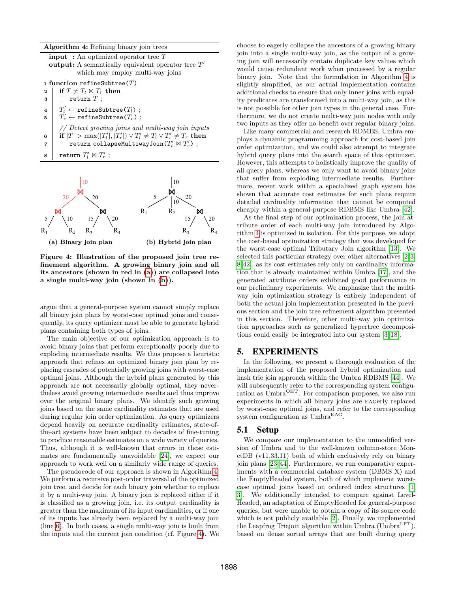**Algorithm 4:** Refining binary join trees

<span id="page-7-2"></span>**input :** An optimized operator tree T **output:** A semantically equivalent operator tree  $T'$ which may employ multi-way joins **<sup>1</sup> function** refineSubtree(T) **2 if**  $T \neq T_l \bowtie T_r$  **then**  $3$  | return  $T$ ;  $4 \mid T_l'$  $\leftarrow$  refineSubtree( $T_l$ ) ;  $5 \mid T'_r$  $\leftarrow$  refineSubtree $(T_r)$ ; *// Detect growing joins and multi-way join inputs*  $\mathbf{6}$   $\vert \textbf{ if } |T| > \max(|T'_t|, |T'_r|) \vee T'_t \neq T_l \vee T'_r \neq T_r \textbf{ then}$  $\begin{array}{ll} \texttt{7} & | & \texttt{return collapseMultiwayJoin}(T_l' \bowtie T_r') \end{array};$  $\mathbf{s}$  | return  $T'_l \bowtie T'_r$  ;

<span id="page-7-3"></span><span id="page-7-1"></span>

**Figure 4: Illustration of the proposed join tree refinement algorithm. A growing binary join and all its ancestors (shown in red in [\(a\)](#page-7-1)) are collapsed into a single multi-way join (shown in [\(b\)](#page-7-1)).**

argue that a general-purpose system cannot simply replace all binary join plans by worst-case optimal joins and consequently, its query optimizer must be able to generate hybrid plans containing both types of joins.

The main objective of our optimization approach is to avoid binary joins that perform exceptionally poorly due to exploding intermediate results. We thus propose a heuristic approach that refines an optimized binary join plan by replacing cascades of potentially growing joins with worst-case optimal joins. Although the hybrid plans generated by this approach are not necessarily globally optimal, they nevertheless avoid growing intermediate results and thus improve over the original binary plans. We identify such growing joins based on the same cardinality estimates that are used during regular join order optimization. As query optimizers depend heavily on accurate cardinality estimates, state-ofthe-art systems have been subject to decades of fine-tuning to produce reasonable estimates on a wide variety of queries. Thus, although it is well-known that errors in these estimates are fundamentally unavoidable [\[24\]](#page-12-13), we expect our approach to work well on a similarly wide range of queries.

The pseudocode of our approach is shown in Algorithm [4.](#page-7-2) We perform a recursive post-order traversal of the optimized join tree, and decide for each binary join whether to replace it by a multi-way join. A binary join is replaced either if it is classified as a growing join, i.e. its output cardinality is greater than the maximum of its input cardinalities, or if one of its inputs has already been replaced by a multi-way join (line [6\)](#page-7-3). In both cases, a single multi-way join is built from the inputs and the current join condition (cf. Figure [4\)](#page-7-1). We choose to eagerly collapse the ancestors of a growing binary join into a single multi-way join, as the output of a growing join will necessarily contain duplicate key values which would cause redundant work when processed by a regular binary join. Note that the formulation in Algorithm [4](#page-7-2) is slightly simplified, as our actual implementation contains additional checks to ensure that only inner joins with equality predicates are transformed into a multi-way join, as this is not possible for other join types in the general case. Furthermore, we do not create multi-way join nodes with only two inputs as they offer no benefit over regular binary joins.

Like many commercial and research RDMBS, Umbra employs a dynamic programming approach for cost-based join order optimization, and we could also attempt to integrate hybrid query plans into the search space of this optimizer. However, this attempts to holistically improve the quality of all query plans, whereas we only want to avoid binary joins that suffer from exploding intermediate results. Furthermore, recent work within a specialized graph system has shown that accurate cost estimates for such plans require detailed cardinality information that cannot be computed cheaply within a general-purpose RDBMS like Umbra [\[42\]](#page-13-4).

As the final step of our optimization process, the join attribute order of each multi-way join introduced by Algorithm [4](#page-7-2) is optimized in isolation. For this purpose, we adopt the cost-based optimization strategy that was developed for the worst-case optimal Tributary Join algorithm [\[13\]](#page-12-8). We selected this particular strategy over other alternatives [\[2,](#page-12-5)[3,](#page-12-4) [8,](#page-12-7) [42\]](#page-13-4), as its cost estimates rely only on cardinality information that is already maintained within Umbra [\[17\]](#page-12-14), and the generated attribute orders exhibited good performance in our preliminary experiments. We emphasize that the multiway join optimization strategy is entirely independent of both the actual join implementation presented in the previous section and the join tree refinement algorithm presented in this section. Therefore, other multi-way join optimization approaches such as generalized hypertree decompositions could easily be integrated into our system [\[3,](#page-12-4) [18\]](#page-12-15).

# <span id="page-7-0"></span>5. EXPERIMENTS

In the following, we present a thorough evaluation of the implementation of the proposed hybrid optimization and hash trie join approach within the Umbra RDBMS [\[44\]](#page-13-5). We will subsequently refer to the corresponding system configuration as Umbra<sup>OHT</sup>. For comparison purposes, we also run experiments in which all binary joins are eagerly replaced by worst-case optimal joins, and refer to the corresponding system configuration as Umbra<sup>EAG</sup>.

# 5.1 Setup

We compare our implementation to the unmodified version of Umbra and to the well-known column-store MonetDB (v11.33.11) both of which exclusively rely on binary join plans [\[23,](#page-12-16) [44\]](#page-13-5). Furthermore, we run comparative experiments with a commercial database system (DBMS X) and the EmptyHeaded system, both of which implement worstcase optimal joins based on ordered index structures [\[1,](#page-12-17) [3\]](#page-12-4). We additionally intended to compare against Level-Headed, an adaptation of EmptyHeaded for general-purpose queries, but were unable to obtain a copy of its source code which is not publicly available [\[2\]](#page-12-5). Finally, we implemented the Leapfrog Triejoin algorithm within Umbra  $(U<sub>m</sub> b<sub>r</sub><sup>LFT</sup>)$ , based on dense sorted arrays that are built during query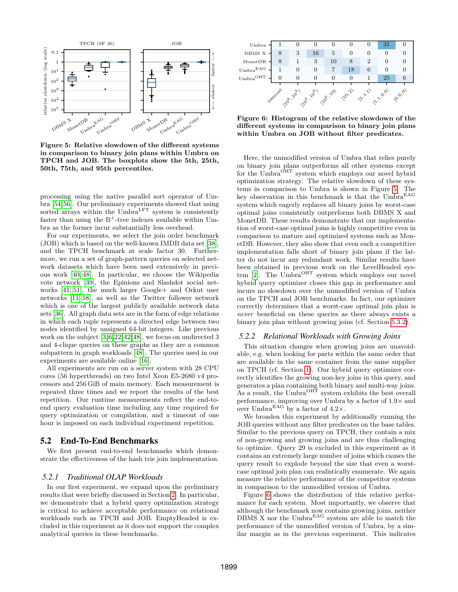<span id="page-8-0"></span>

**Figure 5: Relative slowdown of the different systems in comparison to binary join plans within Umbra on TPCH and JOB. The boxplots show the 5th, 25th, 50th, 75th, and 95th percentiles.**

processing using the native parallel sort operator of Umbra [\[54,](#page-13-2)[56\]](#page-13-14). Our preliminary experiments showed that using sorted arrays within the Umbra<sup>LFT</sup> system is consistently faster than using the  $B^+$ -tree indexes available within Umbra as the former incur substantially less overhead.

For our experiments, we select the join order benchmark (JOB) which is based on the well-known IMDB data set [\[38\]](#page-13-8), and the TPCH benchmark at scale factor 30. Furthermore, we run a set of graph-pattern queries on selected network datasets which have been used extensively in previous work [\[40,](#page-13-15) [48\]](#page-13-1). In particular, we choose the Wikipedia vote network [\[39\]](#page-13-16), the Epinions and Slashdot social networks [\[41,](#page-13-17) [51\]](#page-13-18), the much larger Google+ and Orkut user networks [\[11,](#page-12-18) [58\]](#page-13-19), as well as the Twitter follower network which is one of the largest publicly available network data sets [\[36\]](#page-13-20). All graph data sets are in the form of edge relations in which each tuple represents a directed edge between two nodes identified by unsigned 64-bit integers. Like previous work on the subject [\[3,](#page-12-4)[6,](#page-12-19)[22,](#page-12-20)[42,](#page-13-4)[48\]](#page-13-1), we focus on undirected 3 and 4-clique queries on these graphs as they are a common subpattern in graph workloads [\[48\]](#page-13-1). The queries used in our experiments are available online [\[16\]](#page-12-3).

All experiments are run on a server system with 28 CPU cores (56 hyperthreads) on two Intel Xeon E5-2680 v4 processors and 256 GiB of main memory. Each measurement is repeated three times and we report the results of the best repetition. Our runtime measurements reflect the end-toend query evaluation time including any time required for query optimization or compilation, and a timeout of one hour is imposed on each individual experiment repetition.

## 5.2 End-To-End Benchmarks

We first present end-to-end benchmarks which demonstrate the effectiveness of the hash trie join implementation.

#### *5.2.1 Traditional OLAP Workloads*

In our first experiment, we expand upon the preliminary results that were briefly discussed in Section [2.](#page-1-0) In particular, we demonstrate that a hybrid query optimization strategy is critical to achieve acceptable performance on relational workloads such as TPCH and JOB. EmptyHeaded is excluded in this experiment as it does not support the complex analytical queries in these benchmarks.

<span id="page-8-1"></span>

| Umbra                       |         |                 |    |    |               |                | 31              |         |
|-----------------------------|---------|-----------------|----|----|---------------|----------------|-----------------|---------|
| DBMS X                      | 8       | 3               | 16 | 5  | O             |                |                 |         |
| MonetDB                     | 8       |                 | 3  | 10 | 8             | $\overline{2}$ |                 |         |
| $_{\rm Umbra}$ EAG          |         |                 |    |    | 18            | 6              |                 |         |
| $_{\rm Umbra}$ $^{\rm OHT}$ |         |                 |    |    | 0             |                | 25              |         |
|                             |         |                 |    |    |               |                |                 |         |
|                             | vimeoux | 110 110 110 110 |    |    | <b>PO.</b> 21 | 21.21          | <b>B.21.091</b> | 10.9.01 |
|                             |         |                 |    |    |               |                |                 |         |

**Figure 6: Histogram of the relative slowdown of the different systems in comparison to binary join plans within Umbra on JOB without filter predicates.**

Here, the unmodified version of Umbra that relies purely on binary join plans outperforms all other systems except for the Umbra<sup>OHT</sup> system which employs our novel hybrid optimization strategy. The relative slowdown of these systems in comparison to Umbra is shown in Figure [5.](#page-8-0) The key observation in this benchmark is that the  $\rm Umbra^{EAG}$ system which eagerly replaces all binary joins by worst-case optimal joins consistently outperforms both DBMS X and MonetDB. These results demonstrate that our implementation of worst-case optimal joins is highly competitive even in comparison to mature and optimized systems such as MonetDB. However, they also show that even such a competitive implementation falls short of binary join plans if the latter do not incur any redundant work. Similar results have been obtained in previous work on the LevelHeaded system  $[2]$ . The Umbra<sup>OHT</sup> system which employs our novel hybrid query optimizer closes this gap in performance and incurs no slowdown over the unmodified version of Umbra on the TPCH and JOB benchmarks. In fact, our optimizer correctly determines that a worst-case optimal join plan is *never* beneficial on these queries as there always exists a binary join plan without growing joins (cf. Section [5.3.2\)](#page-10-0).

#### <span id="page-8-2"></span>*5.2.2 Relational Workloads with Growing Joins*

This situation changes when growing joins are unavoidable, e.g. when looking for parts within the same order that are available in the same container from the same supplier on TPCH (cf. Section [1\)](#page-0-0). Our hybrid query optimizer correctly identifies the growing non-key joins in this query, and generates a plan containing both binary and multi-way joins. As a result, the Umbra<sup>OHT</sup> system exhibits the best overall performance, improving over Umbra by a factor of  $1.9\times$  and over Umbra<sup>EAG</sup> by a factor of  $4.2\times$ .

We broaden this experiment by additionally running the JOB queries without any filter predicates on the base tables. Similar to the previous query on TPCH, they contain a mix of non-growing and growing joins and are thus challenging to optimize. Query 29 is excluded in this experiment as it contains an extremely large number of joins which causes the query result to explode beyond the size that even a worstcase optimal join plan can realistically enumerate. We again measure the relative performance of the competitor systems in comparison to the unmodified version of Umbra.

Figure [6](#page-8-1) shows the distribution of this relative performance for each system. Most importantly, we observe that although the benchmark now contains growing joins, neither DBMS X nor the Umbra<sup>EAG</sup> system are able to match the performance of the unmodified version of Umbra, by a similar margin as in the previous experiment. This indicates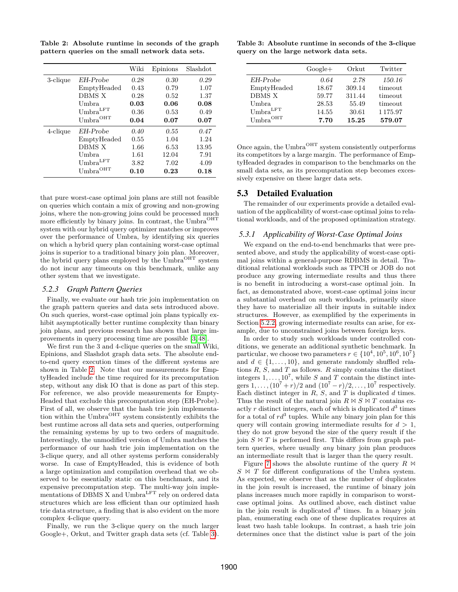<span id="page-9-0"></span>**Table 2: Absolute runtime in seconds of the graph pattern queries on the small network data sets.**

|          |                                  | Wiki | Epinions | Slashdot |
|----------|----------------------------------|------|----------|----------|
| 3-clique | EH-Probe                         | 0.28 | 0.30     | 0.29     |
|          | EmptyHeaded                      | 0.43 | 0.79     | 1.07     |
|          | DBMS X                           | 0.28 | 0.52     | 1.37     |
|          | Umbra.                           | 0.03 | 0.06     | 0.08     |
|          | U <sub>mbra</sub> <sup>LFT</sup> | 0.36 | 0.53     | 0.49     |
|          | $Umbra$ OHT                      | 0.04 | 0.07     | 0.07     |
| 4-clique | EH-Probe                         | 0.40 | 0.55     | 0.47     |
|          | EmptyHeaded                      | 0.55 | 1.04     | 1.24     |
|          | DBMS X                           | 1.66 | 6.53     | 13.95    |
|          | Umbra                            | 1.61 | 12.04    | 7.91     |
|          | U <sub>mbra</sub> <sup>LFT</sup> | 3.82 | 7.02     | 4.09     |
|          | $Umbra$ OHT                      | 0.10 | 0.23     | 0.18     |

that pure worst-case optimal join plans are still not feasible on queries which contain a mix of growing and non-growing joins, where the non-growing joins could be processed much more efficiently by binary joins. In contrast, the Umbra<sup>OHT</sup> system with our hybrid query optimizer matches or improves over the performance of Umbra, by identifying six queries on which a hybrid query plan containing worst-case optimal joins is superior to a traditional binary join plan. Moreover, the hybrid query plans employed by the Umbra<sup>OHT</sup> system do not incur any timeouts on this benchmark, unlike any other system that we investigate.

#### *5.2.3 Graph Pattern Queries*

Finally, we evaluate our hash trie join implementation on the graph pattern queries and data sets introduced above. On such queries, worst-case optimal join plans typically exhibit asymptotically better runtime complexity than binary join plans, and previous research has shown that large improvements in query processing time are possible [\[3,](#page-12-4) [48\]](#page-13-1).

We first run the 3 and 4-clique queries on the small Wiki, Epinions, and Slashdot graph data sets. The absolute endto-end query execution times of the different systems are shown in Table [2.](#page-9-0) Note that our measurements for EmptyHeaded include the time required for its precomputation step, without any disk IO that is done as part of this step. For reference, we also provide measurements for Empty-Headed that exclude this precomputation step (EH-Probe). First of all, we observe that the hash trie join implementation within the Umbra $^{OHT}$  system consistently exhibits the best runtime across all data sets and queries, outperforming the remaining systems by up to two orders of magnitude. Interestingly, the unmodified version of Umbra matches the performance of our hash trie join implementation on the 3-clique query, and all other systems perform considerably worse. In case of EmptyHeaded, this is evidence of both a large optimization and compilation overhead that we observed to be essentially static on this benchmark, and its expensive precomputation step. The multi-way join implementations of DBMS X and Umbra<sup>LFT</sup> rely on ordered data structures which are less efficient than our optimized hash trie data structure, a finding that is also evident on the more complex 4-clique query.

Finally, we run the 3-clique query on the much larger Google+, Orkut, and Twitter graph data sets (cf. Table [3\)](#page-9-1).

<span id="page-9-1"></span>**Table 3: Absolute runtime in seconds of the 3-clique query on the large network data sets.**

|                                  | $Google+$ | Orkut  | Twitter |
|----------------------------------|-----------|--------|---------|
| EH-Probe                         | 0.64      | 2.78   | 150.16  |
| EmptyHeaded                      | 18.67     | 309.14 | timeout |
| DBMS X                           | 59.77     | 311.44 | timeout |
| Umbra.                           | 28.53     | 55.49  | timeout |
| U <sub>mbra</sub> <sup>LFT</sup> | 14.55     | 30.61  | 1175.97 |
| $Umbra$ OHT                      | 7.70      | 15.25  | 579.07  |

Once again, the Umbra<sup>OHT</sup> system consistently outperforms its competitors by a large margin. The performance of EmptyHeaded degrades in comparison to the benchmarks on the small data sets, as its precomputation step becomes excessively expensive on these larger data sets.

# 5.3 Detailed Evaluation

The remainder of our experiments provide a detailed evaluation of the applicability of worst-case optimal joins to relational workloads, and of the proposed optimization strategy.

### *5.3.1 Applicability of Worst-Case Optimal Joins*

We expand on the end-to-end benchmarks that were presented above, and study the applicability of worst-case optimal joins within a general-purpose RDBMS in detail. Traditional relational workloads such as TPCH or JOB do not produce any growing intermediate results and thus there is no benefit in introducing a worst-case optimal join. In fact, as demonstrated above, worst-case optimal joins incur a substantial overhead on such workloads, primarily since they have to materialize all their inputs in suitable index structures. However, as exemplified by the experiments in Section [5.2.2,](#page-8-2) growing intermediate results can arise, for example, due to unconstrained joins between foreign keys.

In order to study such workloads under controlled conditions, we generate an additional synthetic benchmark. In particular, we choose two parameters  $r \in \{10^4, 10^5, 10^6, 10^7\}$ and  $d \in \{1, \ldots, 10\}$ , and generate randomly shuffled relations  $R$ ,  $S$ , and  $T$  as follows.  $R$  simply contains the distinct integers  $1, \ldots, 10^7$ , while S and T contain the distinct integers  $1, \ldots, (10^7 + r)/2$  and  $(10^7 - r)/2, \ldots, 10^7$  respectively. Each distinct integer in  $R$ ,  $S$ , and  $T$  is duplicated  $d$  times. Thus the result of the natural join  $R \bowtie S \bowtie T$  contains exactly r distinct integers, each of which is duplicated  $d^3$  times for a total of  $rd^3$  tuples. While any binary join plan for this query will contain growing intermediate results for  $d > 1$ , they do not grow beyond the size of the query result if the join  $S \bowtie T$  is performed first. This differs from graph pattern queries, where usually *any* binary join plan produces an intermediate result that is larger than the query result.

Figure [7](#page-10-1) shows the absolute runtime of the query  $R \bowtie$  $S \bowtie T$  for different configurations of the Umbra system. As expected, we observe that as the number of duplicates in the join result is increased, the runtime of binary join plans increases much more rapidly in comparison to worstcase optimal joins. As outlined above, each distinct value in the join result is duplicated  $d^3$  times. In a binary join plan, enumerating each one of these duplicates requires at least two hash table lookups. In contrast, a hash trie join determines once that the distinct value is part of the join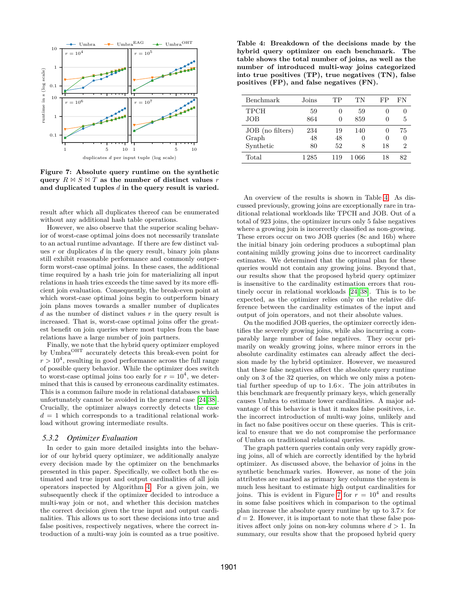<span id="page-10-1"></span>

**Figure 7: Absolute query runtime on the synthetic** query  $R \bowtie S \bowtie T$  as the number of distinct values r **and duplicated tuples** d **in the query result is varied.**

result after which all duplicates thereof can be enumerated without any additional hash table operations.

However, we also observe that the superior scaling behavior of worst-case optimal joins does not necessarily translate to an actual runtime advantage. If there are few distinct values  $r$  or duplicates  $d$  in the query result, binary join plans still exhibit reasonable performance and commonly outperform worst-case optimal joins. In these cases, the additional time required by a hash trie join for materializing all input relations in hash tries exceeds the time saved by its more efficient join evaluation. Consequently, the break-even point at which worst-case optimal joins begin to outperform binary join plans moves towards a smaller number of duplicates d as the number of distinct values  $r$  in the query result is increased. That is, worst-case optimal joins offer the greatest benefit on join queries where most tuples from the base relations have a large number of join partners.

Finally, we note that the hybrid query optimizer employed by Umbra<sup>OHT</sup> accurately detects this break-even point for  $r > 10<sup>4</sup>$ , resulting in good performance across the full range of possible query behavior. While the optimizer does switch to worst-case optimal joins too early for  $r = 10^4$ , we determined that this is caused by erroneous cardinality estimates. This is a common failure mode in relational databases which unfortunately cannot be avoided in the general case [\[24,](#page-12-13)[38\]](#page-13-8). Crucially, the optimizer always correctly detects the case  $d = 1$  which corresponds to a traditional relational workload without growing intermediate results.

#### <span id="page-10-0"></span>*5.3.2 Optimizer Evaluation*

In order to gain more detailed insights into the behavior of our hybrid query optimizer, we additionally analyze every decision made by the optimizer on the benchmarks presented in this paper. Specifically, we collect both the estimated and true input and output cardinalities of all join operators inspected by Algorithm [4.](#page-7-2) For a given join, we subsequently check if the optimizer decided to introduce a multi-way join or not, and whether this decision matches the correct decision given the true input and output cardinalities. This allows us to sort these decisions into true and false positives, respectively negatives, where the correct introduction of a multi-way join is counted as a true positive.

<span id="page-10-2"></span>**Table 4: Breakdown of the decisions made by the hybrid query optimizer on each benchmark. The table shows the total number of joins, as well as the number of introduced multi-way joins categorized into true positives (TP), true negatives (TN), false positives (FP), and false negatives (FN).**

| Benchmark        | Joins | TР           | ТN           | FP       | FN             |
|------------------|-------|--------------|--------------|----------|----------------|
| <b>TPCH</b>      | 59    |              | 59           | 0        |                |
| JOB              | 864   | $\mathbf{0}$ | 859          | $\theta$ | 5              |
| JOB (no filters) | 234   | 19           | 140          | 0        | 75             |
| Graph            | 48    | 48           | $\mathbf{0}$ | $\theta$ | $\mathbf{0}$   |
| Synthetic        | 80    | 52           | 8            | 18       | $\overline{2}$ |
| Total            | 1 285 | 119          | 1 066        | 18       | 82             |

An overview of the results is shown in Table [4.](#page-10-2) As discussed previously, growing joins are exceptionally rare in traditional relational workloads like TPCH and JOB. Out of a total of 923 joins, the optimizer incurs only 5 false negatives where a growing join is incorrectly classified as non-growing. These errors occur on two JOB queries (8c and 16b) where the initial binary join ordering produces a suboptimal plan containing mildly growing joins due to incorrect cardinality estimates. We determined that the optimal plan for these queries would not contain any growing joins. Beyond that, our results show that the proposed hybrid query optimizer is insensitive to the cardinality estimation errors that routinely occur in relational workloads [\[24,](#page-12-13) [38\]](#page-13-8). This is to be expected, as the optimizer relies only on the relative difference between the cardinality estimates of the input and output of join operators, and not their absolute values.

On the modified JOB queries, the optimizer correctly identifies the severely growing joins, while also incurring a comparably large number of false negatives. They occur primarily on weakly growing joins, where minor errors in the absolute cardinality estimates can already affect the decision made by the hybrid optimizer. However, we measured that these false negatives affect the absolute query runtime only on 3 of the 32 queries, on which we only miss a potential further speedup of up to 1.6×. The join attributes in this benchmark are frequently primary keys, which generally causes Umbra to estimate lower cardinalities. A major advantage of this behavior is that it makes false positives, i.e. the incorrect introduction of multi-way joins, unlikely and in fact no false positives occur on these queries. This is critical to ensure that we do not compromise the performance of Umbra on traditional relational queries.

The graph pattern queries contain only very rapidly growing joins, all of which are correctly identified by the hybrid optimizer. As discussed above, the behavior of joins in the synthetic benchmark varies. However, as none of the join attributes are marked as primary key columns the system is much less hesitant to estimate high output cardinalities for joins. This is evident in Figure [7](#page-10-1) for  $r = 10^4$  and results in some false positives which in comparison to the optimal plan increase the absolute query runtime by up to  $3.7\times$  for  $d = 2$ . However, it is important to note that these false positives affect only joins on non-key columns where  $d > 1$ . In summary, our results show that the proposed hybrid query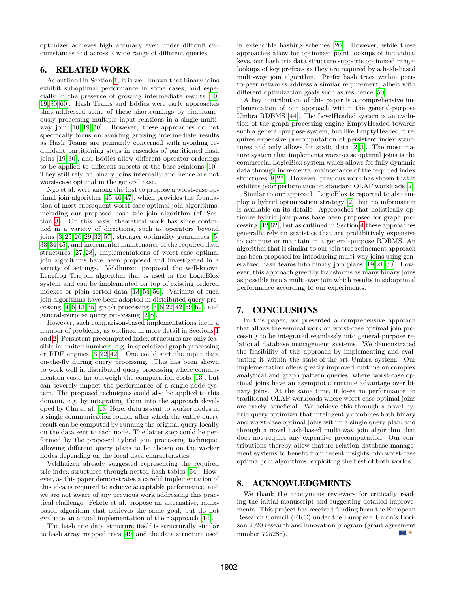optimizer achieves high accuracy even under difficult circumstances and across a wide range of different queries.

# <span id="page-11-0"></span>6. RELATED WORK

As outlined in Section [1,](#page-0-0) it is well-known that binary joins exhibit suboptimal performance in some cases, and especially in the presence of growing intermediate results [\[10,](#page-12-0) [19,](#page-12-1) [30,](#page-12-2) [60\]](#page-13-21). Hash Teams and Eddies were early approaches that addressed some of these shortcomings by simultaneously processing multiple input relations in a single multiway join [\[10,](#page-12-0) [19,](#page-12-1) [30\]](#page-12-2). However, these approaches do not specifically focus on avoiding growing intermediate results as Hash Teams are primarily concerned with avoiding redundant partitioning steps in cascades of partitioned hash joins [\[19,](#page-12-1) [30\]](#page-12-2), and Eddies allow different operator orderings to be applied to different subsets of the base relations [\[10\]](#page-12-0). They still rely on binary joins internally and hence are not worst-case optimal in the general case.

Ngo et al. were among the first to propose a worst-case optimal join algorithm [\[45,](#page-13-3) [46,](#page-13-0) [47\]](#page-13-7), which provides the foundation of most subsequent worst-case optimal join algorithms, including our proposed hash trie join algorithm (cf. Section [3\)](#page-3-0). On this basis, theoretical work has since continued in a variety of directions, such as operators beyond joins  $[3, 25, 26, 29, 32, 57]$  $[3, 25, 26, 29, 32, 57]$  $[3, 25, 26, 29, 32, 57]$  $[3, 25, 26, 29, 32, 57]$  $[3, 25, 26, 29, 32, 57]$  $[3, 25, 26, 29, 32, 57]$ , stronger optimality guarantees  $[5, 5, 57]$ [33,](#page-12-26)[34](#page-12-27)[,45\]](#page-13-3), and incremental maintenance of the required data structures [\[27,](#page-12-28) [28\]](#page-12-29), Implementations of worst-case optimal join algorithms have been proposed and investigated in a variety of settings. Veldhuizen proposed the well-known Leapfrog Triejoin algorithm that is used in the LogicBlox system and can be implemented on top of existing ordered indexes or plain sorted data [\[13,](#page-12-8) [54,](#page-13-2) [56\]](#page-13-14). Variants of such join algorithms have been adopted in distributed query processing  $[4, 6, 13, 35]$  $[4, 6, 13, 35]$  $[4, 6, 13, 35]$  $[4, 6, 13, 35]$  graph processing  $[3, 6, 22, 42, 59, 62]$  $[3, 6, 22, 42, 59, 62]$  $[3, 6, 22, 42, 59, 62]$  $[3, 6, 22, 42, 59, 62]$  $[3, 6, 22, 42, 59, 62]$ , and general-purpose query processing [\[2,](#page-12-5) [8\]](#page-12-7).

However, such comparison-based implementations incur a number of problems, as outlined in more detail in Sections [1](#page-0-0) and [2.](#page-1-0) Persistent precomputed index structures are only feasible in limited numbers, e.g. in specialized graph processing or RDF engines [\[3,](#page-12-4) [22,](#page-12-20) [42\]](#page-13-4). One could sort the input data on-the-fly during query processing. This has been shown to work well in distributed query processing where communication costs far outweigh the computation costs [\[13\]](#page-12-8), but can severely impact the performance of a single-node system. The proposed techniques could also be applied to this domain, e.g. by integrating them into the approach developed by Chu et al. [\[13\]](#page-12-8) Here, data is sent to worker nodes in a single communication round, after which the entire query result can be computed by running the original query locally on the data sent to each node. The latter step could be performed by the proposed hybrid join processing technique, allowing different query plans to be chosen on the worker nodes depending on the local data characteristics.

Veldhuizen already suggested representing the required trie index structures through nested hash tables [\[54\]](#page-13-2). However, as this paper demonstrates a careful implementation of this idea is required to achieve acceptable performance, and we are not aware of any previous work addressing this practical challenge. Fekete et al. propose an alternative, radixbased algorithm that achieves the same goal, but do not evaluate an actual implementation of their approach [\[14\]](#page-12-32).

The hash trie data structure itself is structurally similar to hash array mapped tries [\[49\]](#page-13-25) and the data structure used in extendible hashing schemes [\[20\]](#page-12-33). However, while these approaches allow for optimized point lookups of individual keys, our hash trie data structure supports optimized rangelookups of key prefixes as they are required by a hash-based multi-way join algorithm. Prefix hash trees within peerto-peer networks address a similar requirement, albeit with different optimization goals such as resilience [\[50\]](#page-13-26).

A key contribution of this paper is a comprehensive implementation of our approach within the general-purpose Umbra RDBMS [\[44\]](#page-13-5). The LevelHeaded system is an evolution of the graph processing engine EmptyHeaded towards such a general-purpose system, but like EmptyHeaded it requires expensive precomputation of persistent index structures and only allows for static data [\[2,](#page-12-5) [3\]](#page-12-4). The most mature system that implements worst-case optimal joins is the commercial LogicBlox system which allows for fully dynamic data through incremental maintenance of the required index structures [\[8,](#page-12-7)[27\]](#page-12-28). However, previous work has shown that it exhibits poor performance on standard OLAP workloads [\[2\]](#page-12-5).

Similar to our approach, LogicBlox is reported to also employ a hybrid optimization strategy [\[2\]](#page-12-5), but no information is available on its details. Approaches that holistically optimize hybrid join plans have been proposed for graph processing [\[42,](#page-13-4)[62\]](#page-13-24), but as outlined in Section [4](#page-6-0) these approaches generally rely on statistics that are prohibitively expensive to compute or maintain in a general-purpose RDBMS. An algorithm that is similar to our join tree refinement approach has been proposed for introducing multi-way joins using generalized hash teams into binary join plans [\[19,](#page-12-1) [21,](#page-12-34) [30\]](#page-12-2). However, this approach greedily transforms as many binary joins as possible into a multi-way join which results in suboptimal performance according to our experiments.

# <span id="page-11-1"></span>7. CONCLUSIONS

In this paper, we presented a comprehensive approach that allows the seminal work on worst-case optimal join processing to be integrated seamlessly into general-purpose relational database management systems. We demonstrated the feasibility of this approach by implementing and evaluating it within the state-of-the-art Umbra system. Our implementation offers greatly improved runtime on complex analytical and graph pattern queries, where worst-case optimal joins have an asymptotic runtime advantage over binary joins. At the same time, it loses no performance on traditional OLAP workloads where worst-case optimal joins are rarely beneficial. We achieve this through a novel hybrid query optimizer that intelligently combines both binary and worst-case optimal joins within a single query plan, and through a novel hash-based multi-way join algorithm that does not require any expensive precomputation. Our contributions thereby allow mature relation database management systems to benefit from recent insights into worst-case optimal join algorithms, exploiting the best of both worlds.

## 8. ACKNOWLEDGMENTS

We thank the anonymous reviewers for critically reading the initial manuscript and suggesting detailed improvements. This project has received funding from the European Research Council (ERC) under the European Union's Horizon 2020 research and innovation program (grant agreement  $\bigcirc$ number 725286).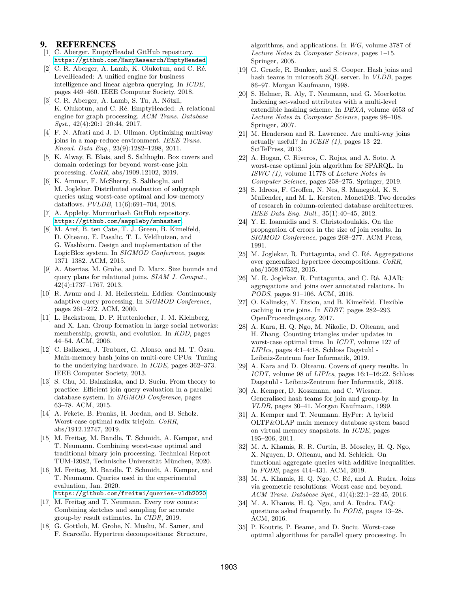# 9. REFERENCES

- <span id="page-12-17"></span>[1] C. Aberger. EmptyHeaded GitHub repository. <https://github.com/HazyResearch/EmptyHeaded>.
- <span id="page-12-5"></span>[2] C. R. Aberger, A. Lamb, K. Olukotun, and C. Ré. LevelHeaded: A unified engine for business intelligence and linear algebra querying. In *ICDE*, pages 449–460. IEEE Computer Society, 2018.
- <span id="page-12-4"></span>[3] C. R. Aberger, A. Lamb, S. Tu, A. Nötzli, K. Olukotun, and C. Ré. EmptyHeaded: A relational engine for graph processing. *ACM Trans. Database Syst.*, 42(4):20:1–20:44, 2017.
- <span id="page-12-30"></span>[4] F. N. Afrati and J. D. Ullman. Optimizing multiway joins in a map-reduce environment. *IEEE Trans. Knowl. Data Eng.*, 23(9):1282–1298, 2011.
- <span id="page-12-25"></span>[5] K. Alway, E. Blais, and S. Salihoglu. Box covers and domain orderings for beyond worst-case join processing. *CoRR*, abs/1909.12102, 2019.
- <span id="page-12-19"></span>[6] K. Ammar, F. McSherry, S. Salihoglu, and M. Joglekar. Distributed evaluation of subgraph queries using worst-case optimal and low-memory dataflows. *PVLDB*, 11(6):691–704, 2018.
- <span id="page-12-10"></span>[7] A. Appleby. Murmurhash GitHub repository. <https://github.com/aappleby/smhasher>.
- <span id="page-12-7"></span>[8] M. Aref, B. ten Cate, T. J. Green, B. Kimelfeld, D. Olteanu, E. Pasalic, T. L. Veldhuizen, and G. Washburn. Design and implementation of the LogicBlox system. In *SIGMOD Conference*, pages 1371–1382. ACM, 2015.
- <span id="page-12-6"></span>[9] A. Atserias, M. Grohe, and D. Marx. Size bounds and query plans for relational joins. *SIAM J. Comput.*, 42(4):1737–1767, 2013.
- <span id="page-12-0"></span>[10] R. Avnur and J. M. Hellerstein. Eddies: Continuously adaptive query processing. In *SIGMOD Conference*, pages 261–272. ACM, 2000.
- <span id="page-12-18"></span>[11] L. Backstrom, D. P. Huttenlocher, J. M. Kleinberg, and X. Lan. Group formation in large social networks: membership, growth, and evolution. In *KDD*, pages 44–54. ACM, 2006.
- <span id="page-12-12"></span>[12] C. Balkesen, J. Teubner, G. Alonso, and M. T. Özsu. Main-memory hash joins on multi-core CPUs: Tuning to the underlying hardware. In *ICDE*, pages 362–373. IEEE Computer Society, 2013.
- <span id="page-12-8"></span>[13] S. Chu, M. Balazinska, and D. Suciu. From theory to practice: Efficient join query evaluation in a parallel database system. In *SIGMOD Conference*, pages 63–78. ACM, 2015.
- <span id="page-12-32"></span>[14] A. Fekete, B. Franks, H. Jordan, and B. Scholz. Worst-case optimal radix triejoin. *CoRR*, abs/1912.12747, 2019.
- <span id="page-12-11"></span>[15] M. Freitag, M. Bandle, T. Schmidt, A. Kemper, and T. Neumann. Combining worst-case optimal and traditional binary join processing. Technical Report TUM-I2082, Technische Universität München, 2020.
- <span id="page-12-3"></span>[16] M. Freitag, M. Bandle, T. Schmidt, A. Kemper, and T. Neumann. Queries used in the experimental evaluation, Jan. 2020.
	- <https://github.com/freitmi/queries-vldb2020>.
- <span id="page-12-14"></span>[17] M. Freitag and T. Neumann. Every row counts: Combining sketches and sampling for accurate group-by result estimates. In *CIDR*, 2019.
- <span id="page-12-15"></span>[18] G. Gottlob, M. Grohe, N. Musliu, M. Samer, and F. Scarcello. Hypertree decompositions: Structure,

algorithms, and applications. In *WG*, volume 3787 of *Lecture Notes in Computer Science*, pages 1–15. Springer, 2005.

- <span id="page-12-1"></span>[19] G. Graefe, R. Bunker, and S. Cooper. Hash joins and hash teams in microsoft SQL server. In *VLDB*, pages 86–97. Morgan Kaufmann, 1998.
- <span id="page-12-33"></span>[20] S. Helmer, R. Aly, T. Neumann, and G. Moerkotte. Indexing set-valued attributes with a multi-level extendible hashing scheme. In *DEXA*, volume 4653 of *Lecture Notes in Computer Science*, pages 98–108. Springer, 2007.
- <span id="page-12-34"></span>[21] M. Henderson and R. Lawrence. Are multi-way joins actually useful? In *ICEIS (1)*, pages 13–22. SciTePress, 2013.
- <span id="page-12-20"></span>[22] A. Hogan, C. Riveros, C. Rojas, and A. Soto. A worst-case optimal join algorithm for SPARQL. In *ISWC (1)*, volume 11778 of *Lecture Notes in Computer Science*, pages 258–275. Springer, 2019.
- <span id="page-12-16"></span>[23] S. Idreos, F. Groffen, N. Nes, S. Manegold, K. S. Mullender, and M. L. Kersten. MonetDB: Two decades of research in column-oriented database architectures. *IEEE Data Eng. Bull.*, 35(1):40–45, 2012.
- <span id="page-12-13"></span>[24] Y. E. Ioannidis and S. Christodoulakis. On the propagation of errors in the size of join results. In *SIGMOD Conference*, pages 268–277. ACM Press, 1991.
- <span id="page-12-21"></span>[25] M. Joglekar, R. Puttagunta, and C. Ré. Aggregations over generalized hypertree decompositions. *CoRR*, abs/1508.07532, 2015.
- <span id="page-12-22"></span>[26] M. R. Joglekar, R. Puttagunta, and C. Ré. AJAR: aggregations and joins over annotated relations. In *PODS*, pages 91–106. ACM, 2016.
- <span id="page-12-28"></span>[27] O. Kalinsky, Y. Etsion, and B. Kimelfeld. Flexible caching in trie joins. In *EDBT*, pages 282–293. OpenProceedings.org, 2017.
- <span id="page-12-29"></span>[28] A. Kara, H. Q. Ngo, M. Nikolic, D. Olteanu, and H. Zhang. Counting triangles under updates in worst-case optimal time. In *ICDT*, volume 127 of *LIPIcs*, pages 4:1–4:18. Schloss Dagstuhl - Leibniz-Zentrum fuer Informatik, 2019.
- <span id="page-12-23"></span>[29] A. Kara and D. Olteanu. Covers of query results. In *ICDT*, volume 98 of *LIPIcs*, pages 16:1–16:22. Schloss Dagstuhl - Leibniz-Zentrum fuer Informatik, 2018.
- <span id="page-12-2"></span>[30] A. Kemper, D. Kossmann, and C. Wiesner. Generalised hash teams for join and group-by. In *VLDB*, pages 30–41. Morgan Kaufmann, 1999.
- <span id="page-12-9"></span>[31] A. Kemper and T. Neumann. HyPer: A hybrid OLTP&OLAP main memory database system based on virtual memory snapshots. In *ICDE*, pages 195–206, 2011.
- <span id="page-12-24"></span>[32] M. A. Khamis, R. R. Curtin, B. Moseley, H. Q. Ngo, X. Nguyen, D. Olteanu, and M. Schleich. On functional aggregate queries with additive inequalities. In *PODS*, pages 414–431. ACM, 2019.
- <span id="page-12-26"></span>[33] M. A. Khamis, H. Q. Ngo, C. Ré, and A. Rudra. Joins via geometric resolutions: Worst case and beyond. *ACM Trans. Database Syst.*, 41(4):22:1–22:45, 2016.
- <span id="page-12-27"></span>[34] M. A. Khamis, H. Q. Ngo, and A. Rudra. FAQ: questions asked frequently. In *PODS*, pages 13–28. ACM, 2016.
- <span id="page-12-31"></span>[35] P. Koutris, P. Beame, and D. Suciu. Worst-case optimal algorithms for parallel query processing. In